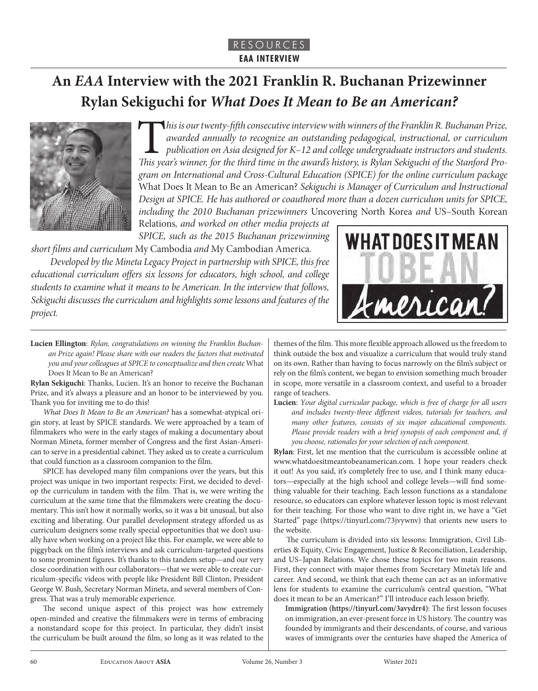# **An** *EAA* **Interview with the 2021 Franklin R. Buchanan Prizewinner Rylan Sekiguchi for** *What Does It Mean to Be an American?*



*This is our twenty-fifth consecutive interview with winners of the Franklin R. Buchanan Prize, awarded annually to recognize an outstanding pedagogical, instructional, or curriculum publication on Asia designed for K–12 a awarded annually to recognize an outstanding pedagogical, instructional, or curriculum publication on Asia designed for K–12 and college undergraduate instructors and students. This year's winner, for the third time in the award's history, is Rylan Sekiguchi of the Stanford Program on International and Cross-Cultural Education (SPICE) for the online curriculum package*  What Does It Mean to Be an American? *Sekiguchi is Manager of Curriculum and Instructional Design at SPICE. He has authored or coauthored more than a dozen curriculum units for SPICE, including the 2010 Buchanan prizewinners* Uncovering North Korea *and* US–South Korean Relations*, and worked on other media projects at* 

*SPICE, such as the 2015 Buchanan prizewinning short films and curriculum* My Cambodia *and* My Cambodian America*.* 

*Developed by the Mineta Legacy Project in partnership with SPICE, this free educational curriculum offers six lessons for educators, high school, and college students to examine what it means to be American. In the interview that follows, Sekiguchi discusses the curriculum and highlights some lessons and features of the project.*



**Lucien Ellington**: *Rylan, congratulations on winning the Franklin Buchanan Prize again! Please share with our readers the factors that motivated you and your colleagues at SPICE to conceptualize and then create* What Does It Mean to Be an American?

**Rylan Sekiguchi**: Thanks, Lucien. It's an honor to receive the Buchanan Prize, and it's always a pleasure and an honor to be interviewed by you. Thank you for inviting me to do this!

*What Does It Mean to Be an American?* has a somewhat-atypical origin story, at least by SPICE standards. We were approached by a team of filmmakers who were in the early stages of making a documentary about Norman Mineta, former member of Congress and the first Asian-American to serve in a presidential cabinet. They asked us to create a curriculum that could function as a classroom companion to the film.

SPICE has developed many film companions over the years, but this project was unique in two important respects: First, we decided to develop the curriculum in tandem with the film. That is, we were writing the curriculum at the same time that the filmmakers were creating the documentary. This isn't how it normally works, so it was a bit unusual, but also exciting and liberating. Our parallel development strategy afforded us as curriculum designers some really special opportunities that we don't usually have when working on a project like this. For example, we were able to piggyback on the film's interviews and ask curriculum-targeted questions to some prominent figures. It's thanks to this tandem setup—and our very close coordination with our collaborators—that we were able to create curriculum-specific videos with people like President Bill Clinton, President George W. Bush, Secretary Norman Mineta, and several members of Congress. That was a truly memorable experience.

The second unique aspect of this project was how extremely open-minded and creative the filmmakers were in terms of embracing a nonstandard scope for this project. In particular, they didn't insist the curriculum be built around the film, so long as it was related to the

themes of the film. This more flexible approach allowed us the freedom to think outside the box and visualize a curriculum that would truly stand on its own. Rather than having to focus narrowly on the film's subject or rely on the film's content, we began to envision something much broader in scope, more versatile in a classroom context, and useful to a broader range of teachers.

**Lucien**: *Your digital curricular package, which is free of charge for all users and includes twenty-three different videos, tutorials for teachers, and many other features, consists of six major educational components. Please provide readers with a brief synopsis of each component and, if you choose, rationales for your selection of each component.*

**Rylan**: First, let me mention that the curriculum is accessible online at www.whatdoesitmeantobeanamerican.com. I hope your readers check it out! As you said, it's completely free to use, and I think many educators—especially at the high school and college levels—will find something valuable for their teaching. Each lesson functions as a standalone resource, so educators can explore whatever lesson topic is most relevant for their teaching. For those who want to dive right in, we have a "Get Started" page (https://tinyurl.com/73jvywnv) that orients new users to the website.

The curriculum is divided into six lessons: Immigration, Civil Liberties & Equity, Civic Engagement, Justice & Reconciliation, Leadership, and US–Japan Relations. We chose these topics for two main reasons. First, they connect with major themes from Secretary Mineta's life and career. And second, we think that each theme can act as an informative lens for students to examine the curriculum's central question, "What does it mean to be an American?" I'll introduce each lesson briefly.

**Immigration (https://tinyurl.com/3avydrr4)**: The first lesson focuses on immigration, an ever-present force in US history. The country was founded by immigrants and their descendants, of course, and various waves of immigrants over the centuries have shaped the America of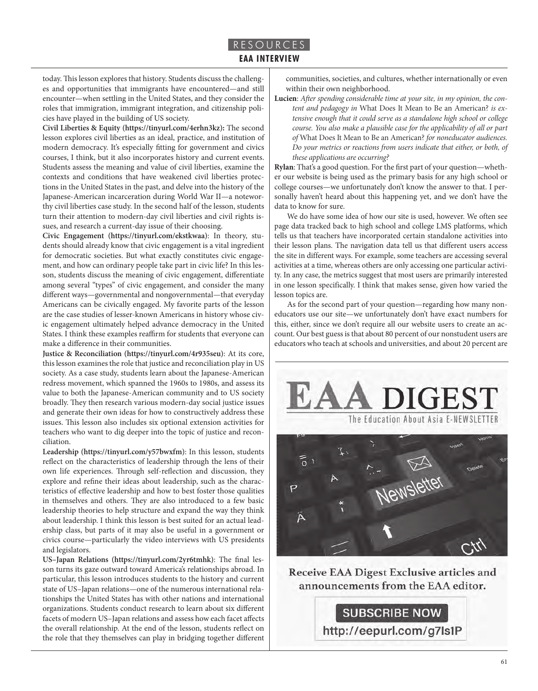# RESOURCES **EAA INTERVIEW**

today. This lesson explores that history. Students discuss the challenges and opportunities that immigrants have encountered—and still encounter—when settling in the United States, and they consider the roles that immigration, immigrant integration, and citizenship policies have played in the building of US society.

**Civil Liberties & Equity (https://tinyurl.com/4erhn3kz):** The second lesson explores civil liberties as an ideal, practice, and institution of modern democracy. It's especially fitting for government and civics courses, I think, but it also incorporates history and current events. Students assess the meaning and value of civil liberties, examine the contexts and conditions that have weakened civil liberties protections in the United States in the past, and delve into the history of the Japanese-American incarceration during World War II—a noteworthy civil liberties case study. In the second half of the lesson, students turn their attention to modern-day civil liberties and civil rights issues, and research a current-day issue of their choosing.

**Civic Engagement (https://tinyurl.com/ekstkwaa)**: In theory, students should already know that civic engagement is a vital ingredient for democratic societies. But what exactly constitutes civic engagement, and how can ordinary people take part in civic life? In this lesson, students discuss the meaning of civic engagement, differentiate among several "types" of civic engagement, and consider the many different ways—governmental and nongovernmental—that everyday Americans can be civically engaged. My favorite parts of the lesson are the case studies of lesser-known Americans in history whose civic engagement ultimately helped advance democracy in the United States. I think these examples reaffirm for students that everyone can make a difference in their communities.

**Justice & Reconciliation (https://tinyurl.com/4r935seu)**: At its core, this lesson examines the role that justice and reconciliation play in US society. As a case study, students learn about the Japanese-American redress movement, which spanned the 1960s to 1980s, and assess its value to both the Japanese-American community and to US society broadly. They then research various modern-day social justice issues and generate their own ideas for how to constructively address these issues. This lesson also includes six optional extension activities for teachers who want to dig deeper into the topic of justice and reconciliation.

**Leadership (https://tinyurl.com/y57bwxfm)**: In this lesson, students reflect on the characteristics of leadership through the lens of their own life experiences. Through self-reflection and discussion, they explore and refine their ideas about leadership, such as the characteristics of effective leadership and how to best foster those qualities in themselves and others. They are also introduced to a few basic leadership theories to help structure and expand the way they think about leadership. I think this lesson is best suited for an actual leadership class, but parts of it may also be useful in a government or civics course—particularly the video interviews with US presidents and legislators.

**US–Japan Relations (https://tinyurl.com/2yr6tmhk)**: The final lesson turns its gaze outward toward America's relationships abroad. In particular, this lesson introduces students to the history and current state of US–Japan relations—one of the numerous international relationships the United States has with other nations and international organizations. Students conduct research to learn about six different facets of modern US–Japan relations and assess how each facet affects the overall relationship. At the end of the lesson, students reflect on the role that they themselves can play in bridging together different communities, societies, and cultures, whether internationally or even within their own neighborhood.

**Lucien**: *After spending considerable time at your site, in my opinion, the content and pedagogy in* What Does It Mean to Be an American? *is extensive enough that it could serve as a standalone high school or college course. You also make a plausible case for the applicability of all or part of* What Does It Mean to Be an American? *for noneducator audiences. Do your metrics or reactions from users indicate that either, or both, of these applications are occurring?*

**Rylan**: That's a good question. For the first part of your question—whether our website is being used as the primary basis for any high school or college courses—we unfortunately don't know the answer to that. I personally haven't heard about this happening yet, and we don't have the data to know for sure.

We do have some idea of how our site is used, however. We often see page data tracked back to high school and college LMS platforms, which tells us that teachers have incorporated certain standalone activities into their lesson plans. The navigation data tell us that different users access the site in different ways. For example, some teachers are accessing several activities at a time, whereas others are only accessing one particular activity. In any case, the metrics suggest that most users are primarily interested in one lesson specifically. I think that makes sense, given how varied the lesson topics are.

As for the second part of your question—regarding how many noneducators use our site—we unfortunately don't have exact numbers for this, either, since we don't require all our website users to create an account. Our best guess is that about 80 percent of our nonstudent users are educators who teach at schools and universities, and about 20 percent are



**Receive EAA Digest Exclusive articles and** announcements from the EAA editor.

**SUBSCRIBE NOW** http://eepurl.com/g7ls1P